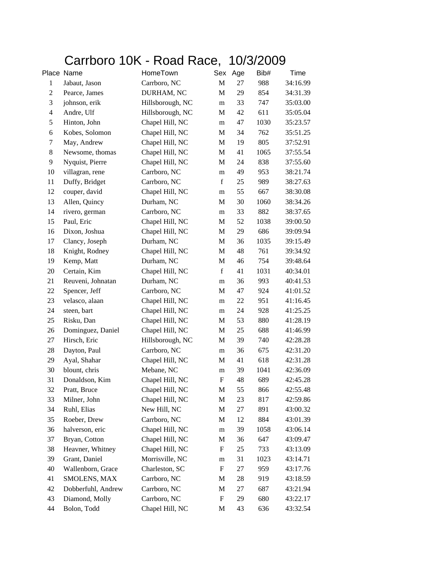## Carrboro 10K - Road Race, 10/3/2009

|                | Place Name         | HomeTown         | Sex         | Age | Bib# | Time     |
|----------------|--------------------|------------------|-------------|-----|------|----------|
| $\mathbf{1}$   | Jabaut, Jason      | Carrboro, NC     | $\mathbf M$ | 27  | 988  | 34:16.99 |
| $\sqrt{2}$     | Pearce, James      | DURHAM, NC       | $\mathbf M$ | 29  | 854  | 34:31.39 |
| $\mathfrak{Z}$ | johnson, erik      | Hillsborough, NC | m           | 33  | 747  | 35:03.00 |
| $\overline{4}$ | Andre, Ulf         | Hillsborough, NC | M           | 42  | 611  | 35:05.04 |
| 5              | Hinton, John       | Chapel Hill, NC  | m           | 47  | 1030 | 35:23.57 |
| 6              | Kobes, Solomon     | Chapel Hill, NC  | M           | 34  | 762  | 35:51.25 |
| $\tau$         | May, Andrew        | Chapel Hill, NC  | M           | 19  | 805  | 37:52.91 |
| 8              | Newsome, thomas    | Chapel Hill, NC  | M           | 41  | 1065 | 37:55.54 |
| 9              | Nyquist, Pierre    | Chapel Hill, NC  | M           | 24  | 838  | 37:55.60 |
| 10             | villagran, rene    | Carrboro, NC     | m           | 49  | 953  | 38:21.74 |
| 11             | Duffy, Bridget     | Carrboro, NC     | $\mathbf f$ | 25  | 989  | 38:27.63 |
| 12             | couper, david      | Chapel Hill, NC  | m           | 55  | 667  | 38:30.08 |
| 13             | Allen, Quincy      | Durham, NC       | M           | 30  | 1060 | 38:34.26 |
| 14             | rivero, german     | Carrboro, NC     | m           | 33  | 882  | 38:37.65 |
| 15             | Paul, Eric         | Chapel Hill, NC  | M           | 52  | 1038 | 39:00.50 |
| 16             | Dixon, Joshua      | Chapel Hill, NC  | M           | 29  | 686  | 39:09.94 |
| 17             | Clancy, Joseph     | Durham, NC       | M           | 36  | 1035 | 39:15.49 |
| 18             | Knight, Rodney     | Chapel Hill, NC  | M           | 48  | 761  | 39:34.92 |
| 19             | Kemp, Matt         | Durham, NC       | M           | 46  | 754  | 39:48.64 |
| 20             | Certain, Kim       | Chapel Hill, NC  | $\mathbf f$ | 41  | 1031 | 40:34.01 |
| 21             | Reuveni, Johnatan  | Durham, NC       | m           | 36  | 993  | 40:41.53 |
| 22             | Spencer, Jeff      | Carrboro, NC     | M           | 47  | 924  | 41:01.52 |
| 23             | velasco, alaan     | Chapel Hill, NC  | m           | 22  | 951  | 41:16.45 |
| 24             | steen, bart        | Chapel Hill, NC  | m           | 24  | 928  | 41:25.25 |
| 25             | Risku, Dan         | Chapel Hill, NC  | M           | 53  | 880  | 41:28.19 |
| 26             | Dominguez, Daniel  | Chapel Hill, NC  | M           | 25  | 688  | 41:46.99 |
| 27             | Hirsch, Eric       | Hillsborough, NC | M           | 39  | 740  | 42:28.28 |
| 28             | Dayton, Paul       | Carrboro, NC     | m           | 36  | 675  | 42:31.20 |
| 29             | Ayal, Shahar       | Chapel Hill, NC  | M           | 41  | 618  | 42:31.28 |
| 30             | blount, chris      | Mebane, NC       | m           | 39  | 1041 | 42:36.09 |
| 31             | Donaldson, Kim     | Chapel Hill, NC  | F           | 48  | 689  | 42:45.28 |
| 32             | Pratt, Bruce       | Chapel Hill, NC  | M           | 55  | 866  | 42:55.48 |
| 33             | Milner, John       | Chapel Hill, NC  | M           | 23  | 817  | 42:59.86 |
| 34             | Ruhl, Elias        | New Hill, NC     | $\mathbf M$ | 27  | 891  | 43:00.32 |
| 35             | Roeber, Drew       | Carrboro, NC     | M           | 12  | 884  | 43:01.39 |
| 36             | halverson, eric    | Chapel Hill, NC  | ${\rm m}$   | 39  | 1058 | 43:06.14 |
| 37             | Bryan, Cotton      | Chapel Hill, NC  | M           | 36  | 647  | 43:09.47 |
| 38             | Heavner, Whitney   | Chapel Hill, NC  | F           | 25  | 733  | 43:13.09 |
| 39             | Grant, Daniel      | Morrisville, NC  | m           | 31  | 1023 | 43:14.71 |
| 40             | Wallenborn, Grace  | Charleston, SC   | F           | 27  | 959  | 43:17.76 |
| 41             | SMOLENS, MAX       | Carrboro, NC     | M           | 28  | 919  | 43:18.59 |
| 42             | Dobberfuhl, Andrew | Carrboro, NC     | M           | 27  | 687  | 43:21.94 |
| 43             | Diamond, Molly     | Carrboro, NC     | F           | 29  | 680  | 43:22.17 |
| 44             | Bolon, Todd        | Chapel Hill, NC  | $\mathbf M$ | 43  | 636  | 43:32.54 |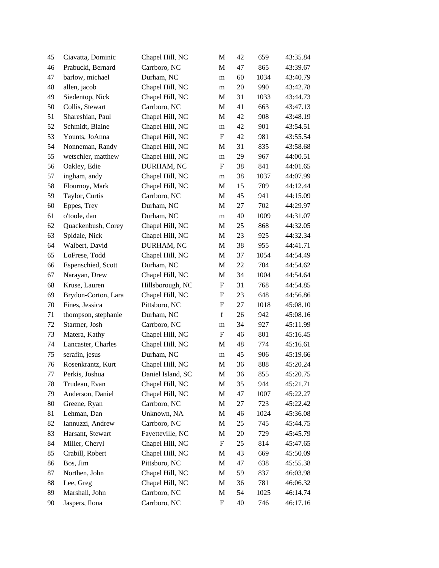| 45 | Ciavatta, Dominic   | Chapel Hill, NC   | М                         | 42 | 659  | 43:35.84 |
|----|---------------------|-------------------|---------------------------|----|------|----------|
| 46 | Prabucki, Bernard   | Carrboro, NC      | M                         | 47 | 865  | 43:39.67 |
| 47 | barlow, michael     | Durham, NC        | m                         | 60 | 1034 | 43:40.79 |
| 48 | allen, jacob        | Chapel Hill, NC   | m                         | 20 | 990  | 43:42.78 |
| 49 | Siedentop, Nick     | Chapel Hill, NC   | M                         | 31 | 1033 | 43:44.73 |
| 50 | Collis, Stewart     | Carrboro, NC      | M                         | 41 | 663  | 43:47.13 |
| 51 | Shareshian, Paul    | Chapel Hill, NC   | M                         | 42 | 908  | 43:48.19 |
| 52 | Schmidt, Blaine     | Chapel Hill, NC   | m                         | 42 | 901  | 43:54.51 |
| 53 | Younts, JoAnna      | Chapel Hill, NC   | F                         | 42 | 981  | 43:55.54 |
| 54 | Nonneman, Randy     | Chapel Hill, NC   | M                         | 31 | 835  | 43:58.68 |
| 55 | wetschler, matthew  | Chapel Hill, NC   | m                         | 29 | 967  | 44:00.51 |
| 56 | Oakley, Edie        | DURHAM, NC        | $\boldsymbol{\mathrm{F}}$ | 38 | 841  | 44:01.65 |
| 57 | ingham, andy        | Chapel Hill, NC   | m                         | 38 | 1037 | 44:07.99 |
| 58 | Flournoy, Mark      | Chapel Hill, NC   | M                         | 15 | 709  | 44:12.44 |
| 59 | Taylor, Curtis      | Carrboro, NC      | M                         | 45 | 941  | 44:15.09 |
| 60 | Eppes, Trey         | Durham, NC        | M                         | 27 | 702  | 44:29.97 |
| 61 | o'toole, dan        | Durham, NC        | m                         | 40 | 1009 | 44:31.07 |
| 62 | Quackenbush, Corey  | Chapel Hill, NC   | M                         | 25 | 868  | 44:32.05 |
| 63 | Spidale, Nick       | Chapel Hill, NC   | M                         | 23 | 925  | 44:32.34 |
| 64 | Walbert, David      | DURHAM, NC        | M                         | 38 | 955  | 44:41.71 |
| 65 | LoFrese, Todd       | Chapel Hill, NC   | M                         | 37 | 1054 | 44:54.49 |
| 66 | Espenschied, Scott  | Durham, NC        | M                         | 22 | 704  | 44:54.62 |
| 67 | Narayan, Drew       | Chapel Hill, NC   | M                         | 34 | 1004 | 44:54.64 |
| 68 | Kruse, Lauren       | Hillsborough, NC  | F                         | 31 | 768  | 44:54.85 |
| 69 | Brydon-Corton, Lara | Chapel Hill, NC   | F                         | 23 | 648  | 44:56.86 |
| 70 | Fines, Jessica      | Pittsboro, NC     | $\boldsymbol{\mathrm{F}}$ | 27 | 1018 | 45:08.10 |
| 71 | thompson, stephanie | Durham, NC        | $\mathbf f$               | 26 | 942  | 45:08.16 |
| 72 | Starmer, Josh       | Carrboro, NC      | m                         | 34 | 927  | 45:11.99 |
| 73 | Matera, Kathy       | Chapel Hill, NC   | F                         | 46 | 801  | 45:16.45 |
| 74 | Lancaster, Charles  | Chapel Hill, NC   | M                         | 48 | 774  | 45:16.61 |
| 75 | serafin, jesus      | Durham, NC        | m                         | 45 | 906  | 45:19.66 |
| 76 | Rosenkrantz, Kurt   | Chapel Hill, NC   | M                         | 36 | 888  | 45:20.24 |
| 77 | Perkis, Joshua      | Daniel Island, SC | M                         | 36 | 855  | 45:20.75 |
| 78 | Trudeau, Evan       | Chapel Hill, NC   | M                         | 35 | 944  | 45:21.71 |
| 79 | Anderson, Daniel    | Chapel Hill, NC   | M                         | 47 | 1007 | 45:22.27 |
| 80 | Greene, Ryan        | Carrboro, NC      | M                         | 27 | 723  | 45:22.42 |
| 81 | Lehman, Dan         | Unknown, NA       | M                         | 46 | 1024 | 45:36.08 |
| 82 | Iannuzzi, Andrew    | Carrboro, NC      | M                         | 25 | 745  | 45:44.75 |
| 83 | Harsant, Stewart    | Fayetteville, NC  | M                         | 20 | 729  | 45:45.79 |
| 84 | Miller, Cheryl      | Chapel Hill, NC   | $\boldsymbol{\mathrm{F}}$ | 25 | 814  | 45:47.65 |
| 85 | Crabill, Robert     | Chapel Hill, NC   | M                         | 43 | 669  | 45:50.09 |
| 86 | Bos, Jim            | Pittsboro, NC     | M                         | 47 | 638  | 45:55.38 |
| 87 | Northen, John       | Chapel Hill, NC   | M                         | 59 | 837  | 46:03.98 |
| 88 | Lee, Greg           | Chapel Hill, NC   | M                         | 36 | 781  | 46:06.32 |
| 89 | Marshall, John      | Carrboro, NC      | M                         | 54 | 1025 | 46:14.74 |
| 90 | Jaspers, Ilona      | Carrboro, NC      | $\boldsymbol{\mathrm{F}}$ | 40 | 746  | 46:17.16 |
|    |                     |                   |                           |    |      |          |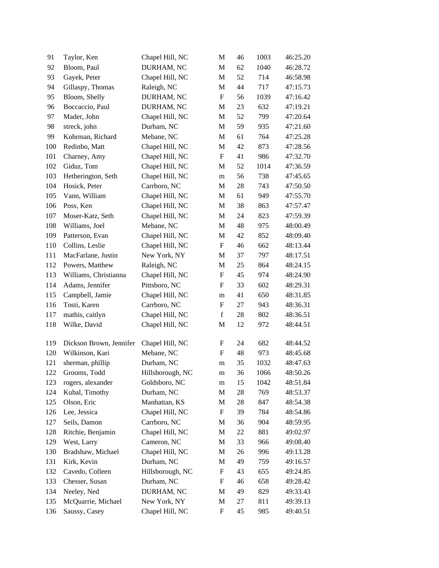| 91  | Taylor, Ken             | Chapel Hill, NC  | M                         | 46 | 1003 | 46:25.20 |
|-----|-------------------------|------------------|---------------------------|----|------|----------|
| 92  | Bloom, Paul             | DURHAM, NC       | M                         | 62 | 1040 | 46:28.72 |
| 93  | Gayek, Peter            | Chapel Hill, NC  | M                         | 52 | 714  | 46:58.98 |
| 94  | Gillaspy, Thomas        | Raleigh, NC      | M                         | 44 | 717  | 47:15.73 |
| 95  | Bloom, Shelly           | DURHAM, NC       | $\boldsymbol{\mathrm{F}}$ | 56 | 1039 | 47:16.42 |
| 96  | Boccaccio, Paul         | DURHAM, NC       | $\mathbf M$               | 23 | 632  | 47:19.21 |
| 97  | Mader, John             | Chapel Hill, NC  | M                         | 52 | 799  | 47:20.64 |
| 98  | streck, john            | Durham, NC       | M                         | 59 | 935  | 47:21.60 |
| 99  | Kohrman, Richard        | Mebane, NC       | M                         | 61 | 764  | 47:25.28 |
| 100 | Redinbo, Matt           | Chapel Hill, NC  | M                         | 42 | 873  | 47:28.56 |
| 101 | Charney, Amy            | Chapel Hill, NC  | $\boldsymbol{\mathrm{F}}$ | 41 | 986  | 47:32.70 |
| 102 | Giduz, Tom              | Chapel Hill, NC  | M                         | 52 | 1014 | 47:36.59 |
| 103 | Hetherington, Seth      | Chapel Hill, NC  | ${\rm m}$                 | 56 | 738  | 47:45.65 |
| 104 | Hosick, Peter           | Carrboro, NC     | M                         | 28 | 743  | 47:50.50 |
| 105 | Vann, William           | Chapel Hill, NC  | $\mathbf M$               | 61 | 949  | 47:55.70 |
| 106 | Poss, Ken               | Chapel Hill, NC  | M                         | 38 | 863  | 47:57.47 |
| 107 | Moser-Katz, Seth        | Chapel Hill, NC  | M                         | 24 | 823  | 47:59.39 |
| 108 | Williams, Joel          | Mebane, NC       | M                         | 48 | 975  | 48:00.49 |
| 109 | Patterson, Evan         | Chapel Hill, NC  | M                         | 42 | 852  | 48:09.40 |
| 110 | Collins, Leslie         | Chapel Hill, NC  | $\boldsymbol{\mathrm{F}}$ | 46 | 662  | 48:13.44 |
| 111 | MacFarlane, Justin      | New York, NY     | M                         | 37 | 797  | 48:17.51 |
| 112 | Powers, Matthew         | Raleigh, NC      | M                         | 25 | 864  | 48:24.15 |
| 113 | Williams, Christianna   | Chapel Hill, NC  | F                         | 45 | 974  | 48:24.90 |
| 114 | Adams, Jennifer         | Pittsboro, NC    | $\boldsymbol{\mathrm{F}}$ | 33 | 602  | 48:29.31 |
| 115 | Campbell, Jamie         | Chapel Hill, NC  | m                         | 41 | 650  | 48:31.85 |
| 116 | Tosti, Karen            | Carrboro, NC     | $\boldsymbol{\mathrm{F}}$ | 27 | 943  | 48:36.31 |
| 117 | mathis, caitlyn         | Chapel Hill, NC  | $\mathbf f$               | 28 | 802  | 48:36.51 |
| 118 | Wilke, David            | Chapel Hill, NC  | M                         | 12 | 972  | 48:44.51 |
| 119 | Dickson Brown, Jennifer | Chapel Hill, NC  | F                         | 24 | 682  | 48:44.52 |
| 120 | Wilkinson, Kari         | Mebane, NC       | F                         | 48 | 973  | 48:45.68 |
| 121 | sherman, phillip        | Durham, NC       | m                         | 35 | 1032 | 48:47.63 |
| 122 | Grooms, Todd            | Hillsborough, NC | m                         | 36 | 1066 | 48:50.26 |
| 123 | rogers, alexander       | Goldsboro, NC    | ${\rm m}$                 | 15 | 1042 | 48:51.84 |
| 124 | Kubal, Timothy          | Durham, NC       | M                         | 28 | 769  | 48:53.37 |
| 125 | Olson, Eric             | Manhattan, KS    | M                         | 28 | 847  | 48:54.38 |
| 126 | Lee, Jessica            | Chapel Hill, NC  | $\boldsymbol{F}$          | 39 | 784  | 48:54.86 |
| 127 | Seils, Damon            | Carrboro, NC     | M                         | 36 | 904  | 48:59.95 |
| 128 | Ritchie, Benjamin       | Chapel Hill, NC  | M                         | 22 | 881  | 49:02.97 |
| 129 | West, Larry             | Cameron, NC      | M                         | 33 | 966  | 49:08.40 |
| 130 | Bradshaw, Michael       | Chapel Hill, NC  | M                         | 26 | 996  | 49:13.28 |
| 131 | Kirk, Kevin             | Durham, NC       | M                         | 49 | 759  | 49:16.57 |
| 132 | Cavedo, Colleen         | Hillsborough, NC | F                         | 43 | 655  | 49:24.85 |
| 133 | Chesser, Susan          | Durham, NC       | $\boldsymbol{F}$          | 46 | 658  | 49:28.42 |
| 134 | Neeley, Ned             | DURHAM, NC       | M                         | 49 | 829  | 49:33.43 |
| 135 | McQuarrie, Michael      | New York, NY     | M                         | 27 | 811  | 49:39.13 |
| 136 | Saussy, Casey           | Chapel Hill, NC  | $\boldsymbol{\mathrm{F}}$ | 45 | 985  | 49:40.51 |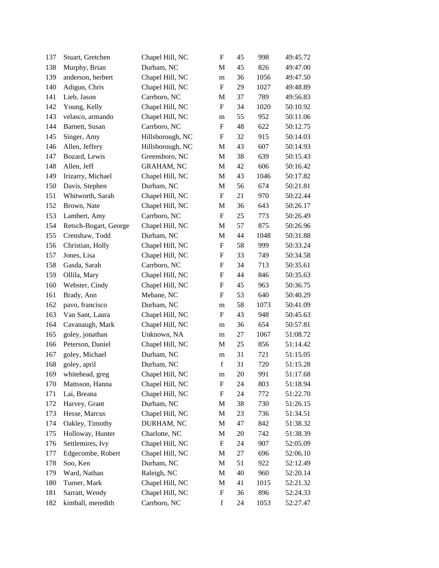| 137 | Stuart, Gretchen      | Chapel Hill, NC   | $\boldsymbol{\mathrm{F}}$ | 45     | 998  | 49:45.72 |
|-----|-----------------------|-------------------|---------------------------|--------|------|----------|
| 138 | Murphy, Brian         | Durham, NC        | M                         | 45     | 826  | 49:47.00 |
| 139 | anderson, herbert     | Chapel Hill, NC   | m                         | 36     | 1056 | 49:47.50 |
| 140 | Adigun, Chris         | Chapel Hill, NC   | $\boldsymbol{\mathrm{F}}$ | 29     | 1027 | 49:48.89 |
| 141 | Lieb, Jason           | Carrboro, NC      | $\mathbf M$               | 37     | 789  | 49:56.83 |
| 142 | Young, Kelly          | Chapel Hill, NC   | $\boldsymbol{\mathrm{F}}$ | 34     | 1020 | 50:10.92 |
| 143 | velasco, armando      | Chapel Hill, NC   | m                         | 55     | 952  | 50:11.06 |
| 144 | Barnett, Susan        | Carrboro, NC      | F                         | 48     | 622  | 50:12.75 |
| 145 | Singer, Amy           | Hillsborough, NC  | $\boldsymbol{F}$          | 32     | 915  | 50:14.03 |
| 146 | Allen, Jeffery        | Hillsborough, NC  | M                         | 43     | 607  | 50:14.93 |
| 147 | Bozard, Lewis         | Greensboro, NC    | M                         | 38     | 639  | 50:15.43 |
| 148 | Allen, Jeff           | <b>GRAHAM, NC</b> | $\mathbf M$               | 42     | 606  | 50:16.42 |
| 149 | Irizarry, Michael     | Chapel Hill, NC   | M                         | 43     | 1046 | 50:17.82 |
| 150 | Davis, Stephen        | Durham, NC        | M                         | 56     | 674  | 50:21.81 |
| 151 | Whitworth, Sarah      | Chapel Hill, NC   | F                         | 21     | 970  | 50:22.44 |
| 152 | Brown, Nate           | Chapel Hill, NC   | M                         | 36     | 643  | 50:26.17 |
| 153 | Lambert, Amy          | Carrboro, NC      | ${\bf F}$                 | 25     | 773  | 50:26.49 |
| 154 | Retsch-Bogart, George | Chapel Hill, NC   | $\mathbf M$               | 57     | 875  | 50:26.96 |
| 155 | Crenshaw, Todd        | Durham, NC        | $\mathbf M$               | 44     | 1048 | 50:31.88 |
| 156 | Christian, Holly      | Chapel Hill, NC   | $\boldsymbol{\mathrm{F}}$ | 58     | 999  | 50:33.24 |
| 157 | Jones, Lisa           | Chapel Hill, NC   | F                         | 33     | 749  | 50:34.58 |
| 158 | Gasda, Sarah          | Carrboro, NC      | F                         | 34     | 713  | 50:35.61 |
| 159 | Ollila, Mary          | Chapel Hill, NC   | $\boldsymbol{\mathrm{F}}$ | 44     | 846  | 50:35.63 |
| 160 | Webster, Cindy        | Chapel Hill, NC   | $\boldsymbol{\mathrm{F}}$ | 45     | 963  | 50:36.75 |
| 161 | Brady, Ann            | Mebane, NC        | $\boldsymbol{\mathrm{F}}$ | 53     | 640  | 50:40.29 |
| 162 | pavo, francisco       | Durham, NC        | m                         | 58     | 1073 | 50:41.09 |
| 163 | Van Sant, Laura       | Chapel Hill, NC   | F                         | 43     | 948  | 50:45.63 |
| 164 | Cavanaugh, Mark       | Chapel Hill, NC   | m                         | 36     | 654  | 50:57.81 |
| 165 | goley, jonathan       | Unknown, NA       | m                         | 27     | 1067 | 51:08.72 |
| 166 | Peterson, Daniel      | Chapel Hill, NC   | M                         | 25     | 856  | 51:14.42 |
| 167 | goley, Michael        | Durham, NC        | ${\rm m}$                 | 31     | 721  | 51:15.05 |
| 168 | goley, april          | Durham, NC        | $\mathbf f$               | 31     | 720  | 51:15.28 |
| 169 | whitehead, greg       | Chapel Hill, NC   | m                         | $20\,$ | 991  | 51:17.68 |
| 170 | Mattsson, Hanna       | Chapel Hill, NC   | F                         | 24     | 803  | 51:18.94 |
| 171 | Lai, Breana           | Chapel Hill, NC   | F                         | 24     | 772  | 51:22.70 |
| 172 | Harvey, Grant         | Durham, NC        | M                         | 38     | 730  | 51:26.15 |
| 173 | Hesse, Marcus         | Chapel Hill, NC   | M                         | 23     | 736  | 51:34.51 |
| 174 | Oakley, Timothy       | DURHAM, NC        | M                         | 47     | 842  | 51:38.32 |
| 175 | Holloway, Hunter      | Charlotte, NC     | M                         | 20     | 742  | 51:38.39 |
| 176 | Settlemires, Ivy      | Chapel Hill, NC   | $\boldsymbol{\mathrm{F}}$ | 24     | 907  | 52:05.09 |
| 177 | Edgecombe, Robert     | Chapel Hill, NC   | M                         | 27     | 696  | 52:06.10 |
| 178 | Soo, Ken              | Durham, NC        | M                         | 51     | 922  | 52:12.49 |
| 179 | Ward, Nathan          | Raleigh, NC       | M                         | 40     | 960  | 52:20.14 |
| 180 | Turner, Mark          | Chapel Hill, NC   | M                         | 41     | 1015 | 52:21.32 |
| 181 | Sarratt, Wendy        | Chapel Hill, NC   | F                         | 36     | 896  | 52:24.33 |
| 182 | kimball, meredith     | Carrboro, NC      | $\mathbf f$               | 24     | 1053 | 52:27.47 |
|     |                       |                   |                           |        |      |          |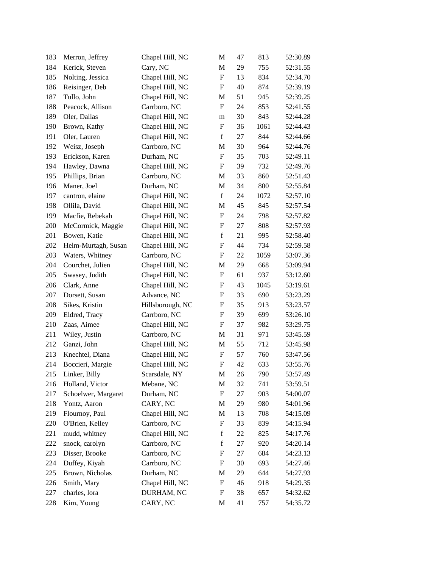| 183 | Merron, Jeffrey     | Chapel Hill, NC  | $\mathbf M$               | 47 | 813  | 52:30.89 |
|-----|---------------------|------------------|---------------------------|----|------|----------|
| 184 | Kerick, Steven      | Cary, NC         | M                         | 29 | 755  | 52:31.55 |
| 185 | Nolting, Jessica    | Chapel Hill, NC  | $\boldsymbol{\mathrm{F}}$ | 13 | 834  | 52:34.70 |
| 186 | Reisinger, Deb      | Chapel Hill, NC  | F                         | 40 | 874  | 52:39.19 |
| 187 | Tullo, John         | Chapel Hill, NC  | M                         | 51 | 945  | 52:39.25 |
| 188 | Peacock, Allison    | Carrboro, NC     | $\boldsymbol{\mathrm{F}}$ | 24 | 853  | 52:41.55 |
| 189 | Oler, Dallas        | Chapel Hill, NC  | ${\rm m}$                 | 30 | 843  | 52:44.28 |
| 190 | Brown, Kathy        | Chapel Hill, NC  | $\boldsymbol{\mathrm{F}}$ | 36 | 1061 | 52:44.43 |
| 191 | Oler, Lauren        | Chapel Hill, NC  | $\mathbf f$               | 27 | 844  | 52:44.66 |
| 192 | Weisz, Joseph       | Carrboro, NC     | M                         | 30 | 964  | 52:44.76 |
| 193 | Erickson, Karen     | Durham, NC       | $\boldsymbol{\mathrm{F}}$ | 35 | 703  | 52:49.11 |
| 194 | Hawley, Dawna       | Chapel Hill, NC  | F                         | 39 | 732  | 52:49.76 |
| 195 | Phillips, Brian     | Carrboro, NC     | $\mathbf M$               | 33 | 860  | 52:51.43 |
| 196 | Maner, Joel         | Durham, NC       | $\mathbf M$               | 34 | 800  | 52:55.84 |
| 197 | cantron, elaine     | Chapel Hill, NC  | $\mathbf f$               | 24 | 1072 | 52:57.10 |
| 198 | Ollila, David       | Chapel Hill, NC  | M                         | 45 | 845  | 52:57.54 |
| 199 | Macfie, Rebekah     | Chapel Hill, NC  | $\boldsymbol{\mathrm{F}}$ | 24 | 798  | 52:57.82 |
| 200 | McCormick, Maggie   | Chapel Hill, NC  | F                         | 27 | 808  | 52:57.93 |
| 201 | Bowen, Katie        | Chapel Hill, NC  | $\mathbf f$               | 21 | 995  | 52:58.40 |
| 202 | Helm-Murtagh, Susan | Chapel Hill, NC  | ${\bf F}$                 | 44 | 734  | 52:59.58 |
| 203 | Waters, Whitney     | Carrboro, NC     | F                         | 22 | 1059 | 53:07.36 |
| 204 | Courchet, Julien    | Chapel Hill, NC  | M                         | 29 | 668  | 53:09.94 |
| 205 | Swasey, Judith      | Chapel Hill, NC  | $\boldsymbol{\mathrm{F}}$ | 61 | 937  | 53:12.60 |
| 206 | Clark, Anne         | Chapel Hill, NC  | F                         | 43 | 1045 | 53:19.61 |
| 207 | Dorsett, Susan      | Advance, NC      | $\boldsymbol{\mathrm{F}}$ | 33 | 690  | 53:23.29 |
| 208 | Sikes, Kristin      | Hillsborough, NC | F                         | 35 | 913  | 53:23.57 |
| 209 | Eldred, Tracy       | Carrboro, NC     | $\boldsymbol{\mathrm{F}}$ | 39 | 699  | 53:26.10 |
| 210 | Zaas, Aimee         | Chapel Hill, NC  | F                         | 37 | 982  | 53:29.75 |
| 211 | Wiley, Justin       | Carrboro, NC     | $\mathbf M$               | 31 | 971  | 53:45.59 |
| 212 | Ganzi, John         | Chapel Hill, NC  | $\mathbf M$               | 55 | 712  | 53:45.98 |
| 213 | Knechtel, Diana     | Chapel Hill, NC  | F                         | 57 | 760  | 53:47.56 |
| 214 | Boccieri, Margie    | Chapel Hill, NC  | $\boldsymbol{\mathrm{F}}$ | 42 | 633  | 53:55.76 |
| 215 | Linker, Billy       | Scarsdale, NY    | M                         | 26 | 790  | 53:57.49 |
| 216 | Holland, Victor     | Mebane, NC       | M                         | 32 | 741  | 53:59.51 |
| 217 | Schoelwer, Margaret | Durham, NC       | $\boldsymbol{\mathrm{F}}$ | 27 | 903  | 54:00.07 |
| 218 | Yontz, Aaron        | CARY, NC         | M                         | 29 | 980  | 54:01.96 |
| 219 | Flournoy, Paul      | Chapel Hill, NC  | M                         | 13 | 708  | 54:15.09 |
| 220 | O'Brien, Kelley     | Carrboro, NC     | F                         | 33 | 839  | 54:15.94 |
| 221 | mudd, whitney       | Chapel Hill, NC  | $\mathbf f$               | 22 | 825  | 54:17.76 |
| 222 | snock, carolyn      | Carrboro, NC     | $\mathbf f$               | 27 | 920  | 54:20.14 |
| 223 | Disser, Brooke      | Carrboro, NC     | F                         | 27 | 684  | 54:23.13 |
| 224 | Duffey, Kiyah       | Carrboro, NC     | F                         | 30 | 693  | 54:27.46 |
| 225 | Brown, Nicholas     | Durham, NC       | M                         | 29 | 644  | 54:27.93 |
| 226 | Smith, Mary         | Chapel Hill, NC  | F                         | 46 | 918  | 54:29.35 |
| 227 | charles, lora       | DURHAM, NC       | F                         | 38 | 657  | 54:32.62 |
| 228 | Kim, Young          | CARY, NC         | $\mathbf M$               | 41 | 757  | 54:35.72 |
|     |                     |                  |                           |    |      |          |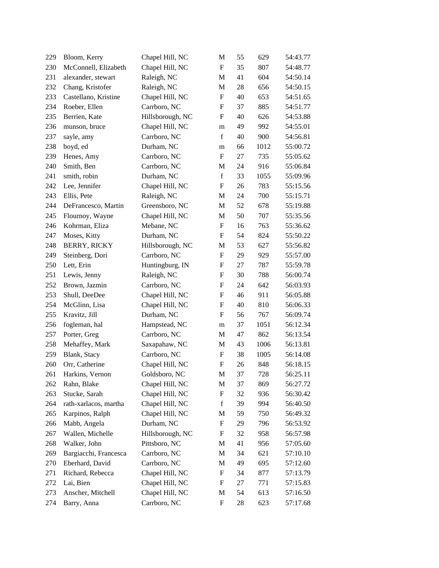| 229 | Bloom, Kerry          | Chapel Hill, NC  | М                         | 55 | 629  | 54:43.77 |
|-----|-----------------------|------------------|---------------------------|----|------|----------|
| 230 | McConnell, Elizabeth  | Chapel Hill, NC  | $\boldsymbol{\mathrm{F}}$ | 35 | 807  | 54:48.77 |
| 231 | alexander, stewart    | Raleigh, NC      | M                         | 41 | 604  | 54:50.14 |
| 232 | Chang, Kristofer      | Raleigh, NC      | M                         | 28 | 656  | 54:50.15 |
| 233 | Castellano, Kristine  | Chapel Hill, NC  | $\boldsymbol{\mathrm{F}}$ | 40 | 653  | 54:51.65 |
| 234 | Roeber, Ellen         | Carrboro, NC     | $\boldsymbol{\mathrm{F}}$ | 37 | 885  | 54:51.77 |
| 235 | Berrien, Kate         | Hillsborough, NC | $\boldsymbol{\mathrm{F}}$ | 40 | 626  | 54:53.88 |
| 236 | munson, bruce         | Chapel Hill, NC  | m                         | 49 | 992  | 54:55.01 |
| 237 | sayle, amy            | Carrboro, NC     | $\mathbf f$               | 40 | 900  | 54:56.81 |
| 238 | boyd, ed              | Durham, NC       | m                         | 66 | 1012 | 55:00.72 |
| 239 | Henes, Amy            | Carrboro, NC     | $\boldsymbol{\mathrm{F}}$ | 27 | 735  | 55:05.62 |
| 240 | Smith, Ben            | Carrboro, NC     | $\mathbf M$               | 24 | 916  | 55:06.84 |
| 241 | smith, robin          | Durham, NC       | $\mathbf f$               | 33 | 1055 | 55:09.96 |
| 242 | Lee, Jennifer         | Chapel Hill, NC  | F                         | 26 | 783  | 55:15.56 |
| 243 | Ellis, Pete           | Raleigh, NC      | M                         | 24 | 700  | 55:15.71 |
| 244 | DeFrancesco, Martin   | Greensboro, NC   | M                         | 52 | 678  | 55:19.88 |
| 245 | Flournoy, Wayne       | Chapel Hill, NC  | M                         | 50 | 707  | 55:35.56 |
| 246 | Kohrman, Eliza        | Mebane, NC       | $\boldsymbol{\mathrm{F}}$ | 16 | 763  | 55:36.62 |
| 247 | Moses, Kitty          | Durham, NC       | F                         | 54 | 824  | 55:50.22 |
| 248 | <b>BERRY, RICKY</b>   | Hillsborough, NC | M                         | 53 | 627  | 55:56.82 |
| 249 | Steinberg, Dori       | Carrboro, NC     | $\boldsymbol{\mathrm{F}}$ | 29 | 929  | 55:57.00 |
| 250 | Lett, Erin            | Huntingburg, IN  | F                         | 27 | 787  | 55:59.78 |
| 251 | Lewis, Jenny          | Raleigh, NC      | $\boldsymbol{\mathrm{F}}$ | 30 | 788  | 56:00.74 |
| 252 | Brown, Jazmin         | Carrboro, NC     | F                         | 24 | 642  | 56:03.93 |
| 253 | Shull, DeeDee         | Chapel Hill, NC  | $\boldsymbol{\mathrm{F}}$ | 46 | 911  | 56:05.88 |
| 254 | McGlinn, Lisa         | Chapel Hill, NC  | $\boldsymbol{\mathrm{F}}$ | 40 | 810  | 56:06.33 |
| 255 | Kravitz, Jill         | Durham, NC       | $\boldsymbol{\mathrm{F}}$ | 56 | 767  | 56:09.74 |
| 256 | fogleman, hal         | Hampstead, NC    | m                         | 37 | 1051 | 56:12.34 |
| 257 | Porter, Greg          | Carrboro, NC     | M                         | 47 | 862  | 56:13.54 |
| 258 | Mehaffey, Mark        | Saxapahaw, NC    | M                         | 43 | 1006 | 56:13.81 |
| 259 | Blank, Stacy          | Carrboro, NC     | F                         | 38 | 1005 | 56:14.08 |
| 260 | Orr, Catherine        | Chapel Hill, NC  | $\boldsymbol{\mathrm{F}}$ | 26 | 848  | 56:18.15 |
| 261 | Harkins, Vernon       | Goldsboro, NC    | M                         | 37 | 728  | 56:25.11 |
| 262 | Rahn, Blake           | Chapel Hill, NC  | M                         | 37 | 869  | 56:27.72 |
| 263 | Stucke, Sarah         | Chapel Hill, NC  | F                         | 32 | 936  | 56:30.42 |
| 264 | rath-xarlacos, martha | Chapel Hill, NC  | $\mathbf f$               | 39 | 994  | 56:40.50 |
| 265 | Karpinos, Ralph       | Chapel Hill, NC  | M                         | 59 | 750  | 56:49.32 |
| 266 | Mabb, Angela          | Durham, NC       | F                         | 29 | 796  | 56:53.92 |
| 267 | Wallen, Michelle      | Hillsborough, NC | F                         | 32 | 958  | 56:57.98 |
| 268 | Walker, John          | Pittsboro, NC    | M                         | 41 | 956  | 57:05.60 |
| 269 | Bargiacchi, Francesca | Carrboro, NC     | M                         | 34 | 621  | 57:10.10 |
| 270 | Eberhard, David       | Carrboro, NC     | M                         | 49 | 695  | 57:12.60 |
| 271 | Richard, Rebecca      | Chapel Hill, NC  | F                         | 34 | 877  | 57:13.79 |
| 272 | Lai, Bien             | Chapel Hill, NC  | F                         | 27 | 771  | 57:15.83 |
| 273 | Anscher, Mitchell     | Chapel Hill, NC  | M                         | 54 | 613  | 57:16.50 |
| 274 | Barry, Anna           | Carrboro, NC     | $\boldsymbol{\mathrm{F}}$ | 28 | 623  | 57:17.68 |
|     |                       |                  |                           |    |      |          |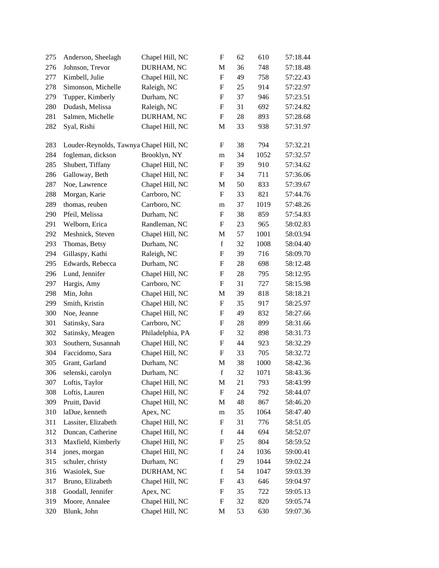| 275 | Anderson, Sheelagh                      | Chapel Hill, NC  | F                         | 62 | 610  | 57:18.44 |
|-----|-----------------------------------------|------------------|---------------------------|----|------|----------|
| 276 | Johnson, Trevor                         | DURHAM, NC       | M                         | 36 | 748  | 57:18.48 |
| 277 | Kimbell, Julie                          | Chapel Hill, NC  | $\boldsymbol{\mathrm{F}}$ | 49 | 758  | 57:22.43 |
| 278 | Simonson, Michelle                      | Raleigh, NC      | F                         | 25 | 914  | 57:22.97 |
| 279 | Tupper, Kimberly                        | Durham, NC       | $\boldsymbol{\mathrm{F}}$ | 37 | 946  | 57:23.51 |
| 280 | Dudash, Melissa                         | Raleigh, NC      | $\boldsymbol{\mathrm{F}}$ | 31 | 692  | 57:24.82 |
| 281 | Salmen, Michelle                        | DURHAM, NC       | $\boldsymbol{\mathrm{F}}$ | 28 | 893  | 57:28.68 |
| 282 | Syal, Rishi                             | Chapel Hill, NC  | M                         | 33 | 938  | 57:31.97 |
| 283 | Louder-Reynolds, Tawnya Chapel Hill, NC |                  | F                         | 38 | 794  | 57:32.21 |
| 284 | fogleman, dickson                       | Brooklyn, NY     | m                         | 34 | 1052 | 57:32.57 |
| 285 | Shubert, Tiffany                        | Chapel Hill, NC  | F                         | 39 | 910  | 57:34.62 |
| 286 | Galloway, Beth                          | Chapel Hill, NC  | $\boldsymbol{F}$          | 34 | 711  | 57:36.06 |
| 287 | Noe, Lawrence                           | Chapel Hill, NC  | M                         | 50 | 833  | 57:39.67 |
| 288 | Morgan, Karie                           | Carrboro, NC     | F                         | 33 | 821  | 57:44.76 |
| 289 | thomas, reuben                          | Carrboro, NC     | m                         | 37 | 1019 | 57:48.26 |
| 290 | Pfeil, Melissa                          | Durham, NC       | $\boldsymbol{\mathrm{F}}$ | 38 | 859  | 57:54.83 |
| 291 | Welborn, Erica                          | Randleman, NC    | $\boldsymbol{\mathrm{F}}$ | 23 | 965  | 58:02.83 |
| 292 | Meshnick, Steven                        | Chapel Hill, NC  | $\mathbf M$               | 57 | 1001 | 58:03.94 |
| 293 | Thomas, Betsy                           | Durham, NC       | $\mathbf f$               | 32 | 1008 | 58:04.40 |
| 294 | Gillaspy, Kathi                         | Raleigh, NC      | $\boldsymbol{\mathrm{F}}$ | 39 | 716  | 58:09.70 |
| 295 | Edwards, Rebecca                        | Durham, NC       | F                         | 28 | 698  | 58:12.48 |
| 296 | Lund, Jennifer                          | Chapel Hill, NC  | $\boldsymbol{\mathrm{F}}$ | 28 | 795  | 58:12.95 |
| 297 | Hargis, Amy                             | Carrboro, NC     | $\boldsymbol{\mathrm{F}}$ | 31 | 727  | 58:15.98 |
| 298 | Min, John                               | Chapel Hill, NC  | M                         | 39 | 818  | 58:18.21 |
| 299 | Smith, Kristin                          | Chapel Hill, NC  | $\boldsymbol{\mathrm{F}}$ | 35 | 917  | 58:25.97 |
| 300 | Noe, Jeanne                             | Chapel Hill, NC  | $\boldsymbol{\mathrm{F}}$ | 49 | 832  | 58:27.66 |
| 301 | Satinsky, Sara                          | Carrboro, NC     | $\boldsymbol{\mathrm{F}}$ | 28 | 899  | 58:31.66 |
| 302 | Satinsky, Meagen                        | Philadelphia, PA | F                         | 32 | 898  | 58:31.73 |
| 303 | Southern, Susannah                      | Chapel Hill, NC  | F                         | 44 | 923  | 58:32.29 |
| 304 | Faccidomo, Sara                         | Chapel Hill, NC  | $\boldsymbol{\mathrm{F}}$ | 33 | 705  | 58:32.72 |
| 305 | Grant, Garland                          | Durham, NC       | $\mathbf M$               | 38 | 1000 | 58:42.36 |
| 306 | selenski, carolyn                       | Durham, NC       | f                         | 32 | 1071 | 58:43.36 |
| 307 | Loftis, Taylor                          | Chapel Hill, NC  | M                         | 21 | 793  | 58:43.99 |
| 308 | Loftis, Lauren                          | Chapel Hill, NC  | F                         | 24 | 792  | 58:44.07 |
| 309 | Pruitt, David                           | Chapel Hill, NC  | M                         | 48 | 867  | 58:46.20 |
| 310 | laDue, kenneth                          | Apex, NC         | m                         | 35 | 1064 | 58:47.40 |
| 311 | Lassiter, Elizabeth                     | Chapel Hill, NC  | F                         | 31 | 776  | 58:51.05 |
| 312 | Duncan, Catherine                       | Chapel Hill, NC  | $\mathbf f$               | 44 | 694  | 58:52.07 |
| 313 | Maxfield, Kimberly                      | Chapel Hill, NC  | F                         | 25 | 804  | 58:59.52 |
| 314 | jones, morgan                           | Chapel Hill, NC  | $\mathbf f$               | 24 | 1036 | 59:00.41 |
| 315 | schuler, christy                        | Durham, NC       | $\mathbf f$               | 29 | 1044 | 59:02.24 |
| 316 | Wasiolek, Sue                           | DURHAM, NC       | $\mathbf f$               | 54 | 1047 | 59:03.39 |
| 317 | Bruno, Elizabeth                        | Chapel Hill, NC  | F                         | 43 | 646  | 59:04.97 |
| 318 | Goodall, Jennifer                       | Apex, NC         | F                         | 35 | 722  | 59:05.13 |
| 319 | Moore, Annalee                          | Chapel Hill, NC  | F                         | 32 | 820  | 59:05.74 |
| 320 | Blunk, John                             | Chapel Hill, NC  | M                         | 53 | 630  | 59:07.36 |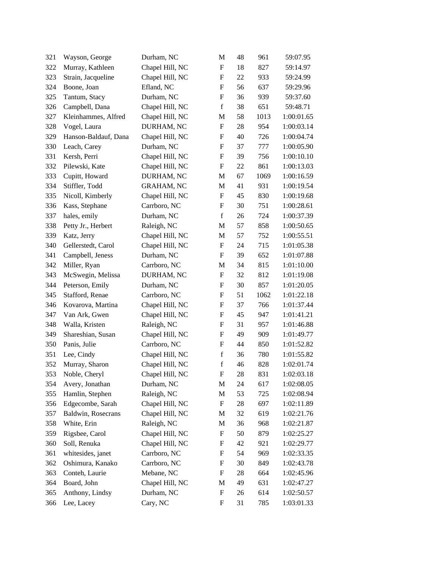| 321 | Wayson, George       | Durham, NC        | M                         | 48 | 961  | 59:07.95   |
|-----|----------------------|-------------------|---------------------------|----|------|------------|
| 322 | Murray, Kathleen     | Chapel Hill, NC   | F                         | 18 | 827  | 59:14.97   |
| 323 | Strain, Jacqueline   | Chapel Hill, NC   | F                         | 22 | 933  | 59:24.99   |
| 324 | Boone, Joan          | Efland, NC        | F                         | 56 | 637  | 59:29.96   |
| 325 | Tantum, Stacy        | Durham, NC        | $\mathbf F$               | 36 | 939  | 59:37.60   |
| 326 | Campbell, Dana       | Chapel Hill, NC   | $\mathbf f$               | 38 | 651  | 59:48.71   |
| 327 | Kleinhammes, Alfred  | Chapel Hill, NC   | M                         | 58 | 1013 | 1:00:01.65 |
| 328 | Vogel, Laura         | DURHAM, NC        | F                         | 28 | 954  | 1:00:03.14 |
| 329 | Hanson-Baldauf, Dana | Chapel Hill, NC   | F                         | 40 | 726  | 1:00:04.74 |
| 330 | Leach, Carey         | Durham, NC        | F                         | 37 | 777  | 1:00:05.90 |
| 331 | Kersh, Perri         | Chapel Hill, NC   | F                         | 39 | 756  | 1:00:10.10 |
| 332 | Pilewski, Kate       | Chapel Hill, NC   | F                         | 22 | 861  | 1:00:13.03 |
| 333 | Cupitt, Howard       | DURHAM, NC        | M                         | 67 | 1069 | 1:00:16.59 |
| 334 | Stiffler, Todd       | <b>GRAHAM, NC</b> | M                         | 41 | 931  | 1:00:19.54 |
| 335 | Nicoll, Kimberly     | Chapel Hill, NC   | F                         | 45 | 830  | 1:00:19.68 |
| 336 | Kass, Stephane       | Carrboro, NC      | F                         | 30 | 751  | 1:00:28.61 |
| 337 | hales, emily         | Durham, NC        | $\mathbf f$               | 26 | 724  | 1:00:37.39 |
| 338 | Petty Jr., Herbert   | Raleigh, NC       | M                         | 57 | 858  | 1:00:50.65 |
| 339 | Katz, Jerry          | Chapel Hill, NC   | M                         | 57 | 752  | 1:00:55.51 |
| 340 | Gellerstedt, Carol   | Chapel Hill, NC   | $\boldsymbol{\mathrm{F}}$ | 24 | 715  | 1:01:05.38 |
| 341 | Campbell, Jeness     | Durham, NC        | F                         | 39 | 652  | 1:01:07.88 |
| 342 | Miller, Ryan         | Carrboro, NC      | M                         | 34 | 815  | 1:01:10.00 |
| 343 | McSwegin, Melissa    | DURHAM, NC        | F                         | 32 | 812  | 1:01:19.08 |
| 344 | Peterson, Emily      | Durham, NC        | $\boldsymbol{\mathrm{F}}$ | 30 | 857  | 1:01:20.05 |
| 345 | Stafford, Renae      | Carrboro, NC      | $\boldsymbol{\mathrm{F}}$ | 51 | 1062 | 1:01:22.18 |
| 346 | Kovarova, Martina    | Chapel Hill, NC   | F                         | 37 | 766  | 1:01:37.44 |
| 347 | Van Ark, Gwen        | Chapel Hill, NC   | F                         | 45 | 947  | 1:01:41.21 |
| 348 | Walla, Kristen       | Raleigh, NC       | F                         | 31 | 957  | 1:01:46.88 |
| 349 | Shareshian, Susan    | Chapel Hill, NC   | F                         | 49 | 909  | 1:01:49.77 |
| 350 | Panis, Julie         | Carrboro, NC      | $\mathbf F$               | 44 | 850  | 1:01:52.82 |
| 351 | Lee, Cindy           | Chapel Hill, NC   | $\mathbf f$               | 36 | 780  | 1:01:55.82 |
| 352 | Murray, Sharon       | Chapel Hill, NC   | $\mathbf f$               | 46 | 828  | 1:02:01.74 |
| 353 | Noble, Cheryl        | Chapel Hill, NC   | F                         | 28 | 831  | 1:02:03.18 |
| 354 | Avery, Jonathan      | Durham, NC        | M                         | 24 | 617  | 1:02:08.05 |
| 355 | Hamlin, Stephen      | Raleigh, NC       | M                         | 53 | 725  | 1:02:08.94 |
| 356 | Edgecombe, Sarah     | Chapel Hill, NC   | $\boldsymbol{\mathrm{F}}$ | 28 | 697  | 1:02:11.89 |
| 357 | Baldwin, Rosecrans   | Chapel Hill, NC   | M                         | 32 | 619  | 1:02:21.76 |
| 358 | White, Erin          | Raleigh, NC       | M                         | 36 | 968  | 1:02:21.87 |
| 359 | Rigsbee, Carol       | Chapel Hill, NC   | F                         | 50 | 879  | 1:02:25.27 |
| 360 | Soll, Renuka         | Chapel Hill, NC   | F                         | 42 | 921  | 1:02:29.77 |
| 361 | whitesides, janet    | Carrboro, NC      | F                         | 54 | 969  | 1:02:33.35 |
| 362 | Oshimura, Kanako     | Carrboro, NC      | F                         | 30 | 849  | 1:02:43.78 |
| 363 | Conteh, Laurie       | Mebane, NC        | F                         | 28 | 664  | 1:02:45.96 |
| 364 | Board, John          | Chapel Hill, NC   | M                         | 49 | 631  | 1:02:47.27 |
| 365 | Anthony, Lindsy      | Durham, NC        | F                         | 26 | 614  | 1:02:50.57 |
| 366 | Lee, Lacey           | Cary, NC          | $\boldsymbol{\mathrm{F}}$ | 31 | 785  | 1:03:01.33 |
|     |                      |                   |                           |    |      |            |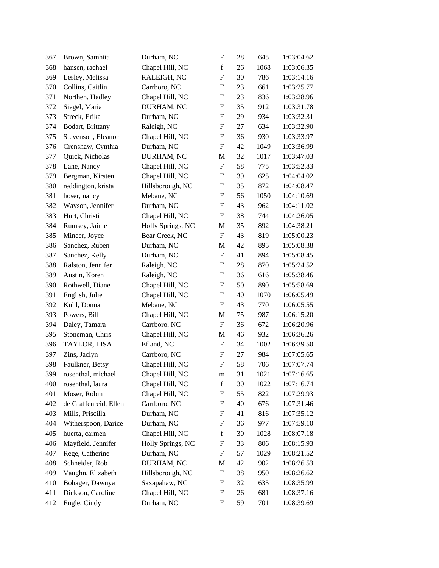| 367 | Brown, Samhita        | Durham, NC        | $\boldsymbol{\mathrm{F}}$ | 28 | 645  | 1:03:04.62 |
|-----|-----------------------|-------------------|---------------------------|----|------|------------|
| 368 | hansen, rachael       | Chapel Hill, NC   | $\mathbf f$               | 26 | 1068 | 1:03:06.35 |
| 369 | Lesley, Melissa       | RALEIGH, NC       | F                         | 30 | 786  | 1:03:14.16 |
| 370 | Collins, Caitlin      | Carrboro, NC      | F                         | 23 | 661  | 1:03:25.77 |
| 371 | Northen, Hadley       | Chapel Hill, NC   | F                         | 23 | 836  | 1:03:28.96 |
| 372 | Siegel, Maria         | DURHAM, NC        | $\boldsymbol{\mathrm{F}}$ | 35 | 912  | 1:03:31.78 |
| 373 | Streck, Erika         | Durham, NC        | F                         | 29 | 934  | 1:03:32.31 |
| 374 | Bodart, Brittany      | Raleigh, NC       | F                         | 27 | 634  | 1:03:32.90 |
| 375 | Stevenson, Eleanor    | Chapel Hill, NC   | F                         | 36 | 930  | 1:03:33.97 |
| 376 | Crenshaw, Cynthia     | Durham, NC        | $\mathbf F$               | 42 | 1049 | 1:03:36.99 |
| 377 | Quick, Nicholas       | DURHAM, NC        | M                         | 32 | 1017 | 1:03:47.03 |
| 378 | Lane, Nancy           | Chapel Hill, NC   | $\boldsymbol{\mathrm{F}}$ | 58 | 775  | 1:03:52.83 |
| 379 | Bergman, Kirsten      | Chapel Hill, NC   | F                         | 39 | 625  | 1:04:04.02 |
| 380 | reddington, krista    | Hillsborough, NC  | F                         | 35 | 872  | 1:04:08.47 |
| 381 | hoser, nancy          | Mebane, NC        | F                         | 56 | 1050 | 1:04:10.69 |
| 382 | Wayson, Jennifer      | Durham, NC        | $\mathbf F$               | 43 | 962  | 1:04:11.02 |
| 383 | Hurt, Christi         | Chapel Hill, NC   | F                         | 38 | 744  | 1:04:26.05 |
| 384 | Rumsey, Jaime         | Holly Springs, NC | M                         | 35 | 892  | 1:04:38.21 |
| 385 | Mineer, Joyce         | Bear Creek, NC    | F                         | 43 | 819  | 1:05:00.23 |
| 386 | Sanchez, Ruben        | Durham, NC        | M                         | 42 | 895  | 1:05:08.38 |
| 387 | Sanchez, Kelly        | Durham, NC        | $\boldsymbol{\mathrm{F}}$ | 41 | 894  | 1:05:08.45 |
| 388 | Ralston, Jennifer     | Raleigh, NC       | F                         | 28 | 870  | 1:05:24.52 |
| 389 | Austin, Koren         | Raleigh, NC       | F                         | 36 | 616  | 1:05:38.46 |
| 390 | Rothwell, Diane       | Chapel Hill, NC   | F                         | 50 | 890  | 1:05:58.69 |
| 391 | English, Julie        | Chapel Hill, NC   | F                         | 40 | 1070 | 1:06:05.49 |
| 392 | Kuhl, Donna           | Mebane, NC        | F                         | 43 | 770  | 1:06:05.55 |
| 393 | Powers, Bill          | Chapel Hill, NC   | M                         | 75 | 987  | 1:06:15.20 |
| 394 | Daley, Tamara         | Carrboro, NC      | F                         | 36 | 672  | 1:06:20.96 |
| 395 | Stoneman, Chris       | Chapel Hill, NC   | M                         | 46 | 932  | 1:06:36.26 |
| 396 | TAYLOR, LISA          | Efland, NC        | F                         | 34 | 1002 | 1:06:39.50 |
| 397 | Zins, Jaclyn          | Carrboro, NC      | $\boldsymbol{\mathrm{F}}$ | 27 | 984  | 1:07:05.65 |
| 398 | Faulkner, Betsy       | Chapel Hill, NC   | $\mathbf F$               | 58 | 706  | 1:07:07.74 |
| 399 | rosenthal, michael    | Chapel Hill, NC   | m                         | 31 | 1021 | 1:07:16.65 |
| 400 | rosenthal, laura      | Chapel Hill, NC   | f                         | 30 | 1022 | 1:07:16.74 |
| 401 | Moser, Robin          | Chapel Hill, NC   | F                         | 55 | 822  | 1:07:29.93 |
| 402 | de Graffenreid, Ellen | Carrboro, NC      | F                         | 40 | 676  | 1:07:31.46 |
| 403 | Mills, Priscilla      | Durham, NC        | F                         | 41 | 816  | 1:07:35.12 |
| 404 | Witherspoon, Darice   | Durham, NC        | F                         | 36 | 977  | 1:07:59.10 |
| 405 | huerta, carmen        | Chapel Hill, NC   | $\mathbf f$               | 30 | 1028 | 1:08:07.18 |
| 406 | Mayfield, Jennifer    | Holly Springs, NC | F                         | 33 | 806  | 1:08:15.93 |
| 407 | Rege, Catherine       | Durham, NC        | F                         | 57 | 1029 | 1:08:21.52 |
| 408 | Schneider, Rob        | DURHAM, NC        | M                         | 42 | 902  | 1:08:26.53 |
| 409 | Vaughn, Elizabeth     | Hillsborough, NC  | F                         | 38 | 950  | 1:08:26.62 |
| 410 | Bohager, Dawnya       | Saxapahaw, NC     | F                         | 32 | 635  | 1:08:35.99 |
| 411 | Dickson, Caroline     | Chapel Hill, NC   | F                         | 26 | 681  | 1:08:37.16 |
| 412 | Engle, Cindy          | Durham, NC        | F                         | 59 | 701  | 1:08:39.69 |
|     |                       |                   |                           |    |      |            |